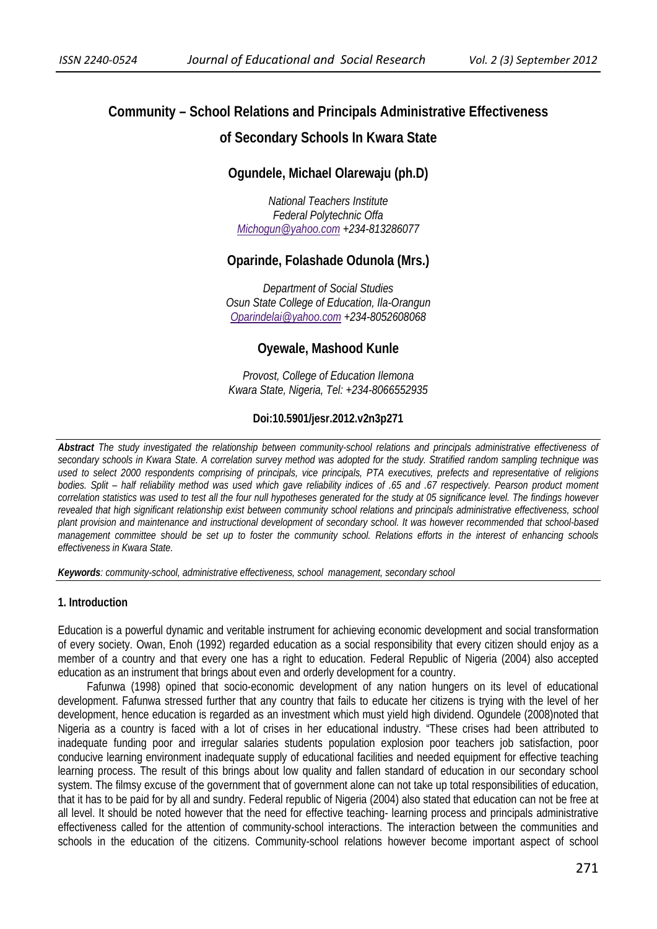# **Community – School Relations and Principals Administrative Effectiveness**

## **of Secondary Schools In Kwara State**

# **Ogundele, Michael Olarewaju (ph.D)**

*National Teachers Institute Federal Polytechnic Offa Michogun@yahoo.com +234-813286077*

## **Oparinde, Folashade Odunola (Mrs.)**

*Department of Social Studies Osun State College of Education, Ila-Orangun Oparindelai@yahoo.com +234-8052608068* 

## **Oyewale, Mashood Kunle**

*Provost, College of Education Ilemona Kwara State, Nigeria, Tel: +234-8066552935* 

### **Doi:10.5901/jesr.2012.v2n3p271**

*Abstract The study investigated the relationship between community-school relations and principals administrative effectiveness of secondary schools in Kwara State. A correlation survey method was adopted for the study. Stratified random sampling technique was used to select 2000 respondents comprising of principals, vice principals, PTA executives, prefects and representative of religions bodies. Split – half reliability method was used which gave reliability indices of .65 and .67 respectively. Pearson product moment correlation statistics was used to test all the four null hypotheses generated for the study at 05 significance level. The findings however revealed that high significant relationship exist between community school relations and principals administrative effectiveness, school plant provision and maintenance and instructional development of secondary school. It was however recommended that school-based management committee should be set up to foster the community school. Relations efforts in the interest of enhancing schools effectiveness in Kwara State.*

*Keywords: community-school, administrative effectiveness, school management, secondary school* 

#### **1. Introduction**

Education is a powerful dynamic and veritable instrument for achieving economic development and social transformation of every society. Owan, Enoh (1992) regarded education as a social responsibility that every citizen should enjoy as a member of a country and that every one has a right to education. Federal Republic of Nigeria (2004) also accepted education as an instrument that brings about even and orderly development for a country.

Fafunwa (1998) opined that socio-economic development of any nation hungers on its level of educational development. Fafunwa stressed further that any country that fails to educate her citizens is trying with the level of her development, hence education is regarded as an investment which must yield high dividend. Ogundele (2008)noted that Nigeria as a country is faced with a lot of crises in her educational industry. "These crises had been attributed to inadequate funding poor and irregular salaries students population explosion poor teachers job satisfaction, poor conducive learning environment inadequate supply of educational facilities and needed equipment for effective teaching learning process. The result of this brings about low quality and fallen standard of education in our secondary school system. The filmsy excuse of the government that of government alone can not take up total responsibilities of education, that it has to be paid for by all and sundry. Federal republic of Nigeria (2004) also stated that education can not be free at all level. It should be noted however that the need for effective teaching- learning process and principals administrative effectiveness called for the attention of community-school interactions. The interaction between the communities and schools in the education of the citizens. Community-school relations however become important aspect of school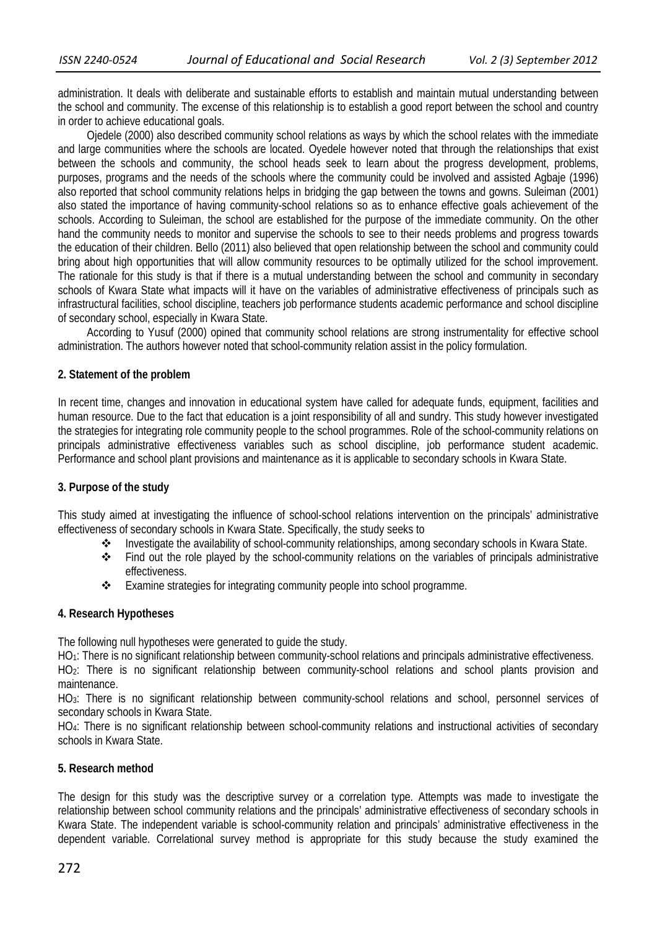administration. It deals with deliberate and sustainable efforts to establish and maintain mutual understanding between the school and community. The excense of this relationship is to establish a good report between the school and country in order to achieve educational goals.

Ojedele (2000) also described community school relations as ways by which the school relates with the immediate and large communities where the schools are located. Oyedele however noted that through the relationships that exist between the schools and community, the school heads seek to learn about the progress development, problems, purposes, programs and the needs of the schools where the community could be involved and assisted Agbaje (1996) also reported that school community relations helps in bridging the gap between the towns and gowns. Suleiman (2001) also stated the importance of having community-school relations so as to enhance effective goals achievement of the schools. According to Suleiman, the school are established for the purpose of the immediate community. On the other hand the community needs to monitor and supervise the schools to see to their needs problems and progress towards the education of their children. Bello (2011) also believed that open relationship between the school and community could bring about high opportunities that will allow community resources to be optimally utilized for the school improvement. The rationale for this study is that if there is a mutual understanding between the school and community in secondary schools of Kwara State what impacts will it have on the variables of administrative effectiveness of principals such as infrastructural facilities, school discipline, teachers job performance students academic performance and school discipline of secondary school, especially in Kwara State.

According to Yusuf (2000) opined that community school relations are strong instrumentality for effective school administration. The authors however noted that school-community relation assist in the policy formulation.

#### **2. Statement of the problem**

In recent time, changes and innovation in educational system have called for adequate funds, equipment, facilities and human resource. Due to the fact that education is a joint responsibility of all and sundry. This study however investigated the strategies for integrating role community people to the school programmes. Role of the school-community relations on principals administrative effectiveness variables such as school discipline, job performance student academic. Performance and school plant provisions and maintenance as it is applicable to secondary schools in Kwara State.

#### **3. Purpose of the study**

This study aimed at investigating the influence of school-school relations intervention on the principals' administrative effectiveness of secondary schools in Kwara State. Specifically, the study seeks to

- Investigate the availability of school-community relationships, among secondary schools in Kwara State.
- Find out the role played by the school-community relations on the variables of principals administrative effectiveness.
- \* Examine strategies for integrating community people into school programme.

#### **4. Research Hypotheses**

The following null hypotheses were generated to guide the study.

HO<sub>1</sub>: There is no significant relationship between community-school relations and principals administrative effectiveness.

HO2: There is no significant relationship between community-school relations and school plants provision and maintenance.

HO3: There is no significant relationship between community-school relations and school, personnel services of secondary schools in Kwara State.

HO4: There is no significant relationship between school-community relations and instructional activities of secondary schools in Kwara State.

#### **5. Research method**

The design for this study was the descriptive survey or a correlation type. Attempts was made to investigate the relationship between school community relations and the principals' administrative effectiveness of secondary schools in Kwara State. The independent variable is school-community relation and principals' administrative effectiveness in the dependent variable. Correlational survey method is appropriate for this study because the study examined the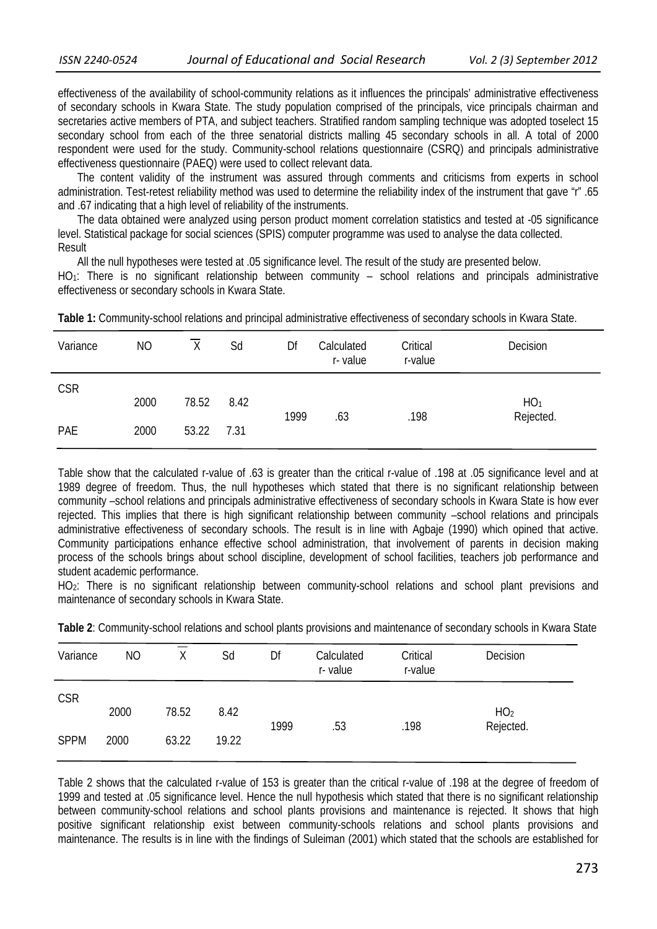effectiveness of the availability of school-community relations as it influences the principals' administrative effectiveness of secondary schools in Kwara State. The study population comprised of the principals, vice principals chairman and secretaries active members of PTA, and subject teachers. Stratified random sampling technique was adopted toselect 15 secondary school from each of the three senatorial districts malling 45 secondary schools in all. A total of 2000 respondent were used for the study. Community-school relations questionnaire (CSRQ) and principals administrative effectiveness questionnaire (PAEQ) were used to collect relevant data.

 The content validity of the instrument was assured through comments and criticisms from experts in school administration. Test-retest reliability method was used to determine the reliability index of the instrument that gave "r" .65 and .67 indicating that a high level of reliability of the instruments.

 The data obtained were analyzed using person product moment correlation statistics and tested at -05 significance level. Statistical package for social sciences (SPIS) computer programme was used to analyse the data collected. Result

 All the null hypotheses were tested at .05 significance level. The result of the study are presented below. HO1: There is no significant relationship between community – school relations and principals administrative effectiveness or secondary schools in Kwara State.

| Variance   | N <sub>O</sub> | $\overline{X}$ | Sd   | Df   | Calculated<br>r-value | Critical<br>r-value | Decision        |
|------------|----------------|----------------|------|------|-----------------------|---------------------|-----------------|
| <b>CSR</b> | 2000           | 78.52          | 8.42 |      |                       |                     | HO <sub>1</sub> |
| PAE        | 2000           | 53.22          | 7.31 | 1999 | .63                   | .198                | Rejected.       |

**Table 1:** Community-school relations and principal administrative effectiveness of secondary schools in Kwara State.

Table show that the calculated r-value of .63 is greater than the critical r-value of .198 at .05 significance level and at 1989 degree of freedom. Thus, the null hypotheses which stated that there is no significant relationship between community –school relations and principals administrative effectiveness of secondary schools in Kwara State is how ever rejected. This implies that there is high significant relationship between community –school relations and principals administrative effectiveness of secondary schools. The result is in line with Agbaje (1990) which opined that active. Community participations enhance effective school administration, that involvement of parents in decision making process of the schools brings about school discipline, development of school facilities, teachers job performance and student academic performance.

HO2: There is no significant relationship between community-school relations and school plant previsions and maintenance of secondary schools in Kwara State.

| Variance    | NO   | χ     | Sd    | Df   | Calculated<br>r-value | Critical<br>r-value | Decision        |  |
|-------------|------|-------|-------|------|-----------------------|---------------------|-----------------|--|
| <b>CSR</b>  | 2000 | 78.52 | 8.42  |      |                       |                     | HO <sub>2</sub> |  |
| <b>SPPM</b> | 2000 | 63.22 | 19.22 | 1999 | .53                   | .198                | Rejected.       |  |

**Table 2**: Community-school relations and school plants provisions and maintenance of secondary schools in Kwara State

Table 2 shows that the calculated r-value of 153 is greater than the critical r-value of .198 at the degree of freedom of 1999 and tested at .05 significance level. Hence the null hypothesis which stated that there is no significant relationship between community-school relations and school plants provisions and maintenance is rejected. It shows that high positive significant relationship exist between community-schools relations and school plants provisions and maintenance. The results is in line with the findings of Suleiman (2001) which stated that the schools are established for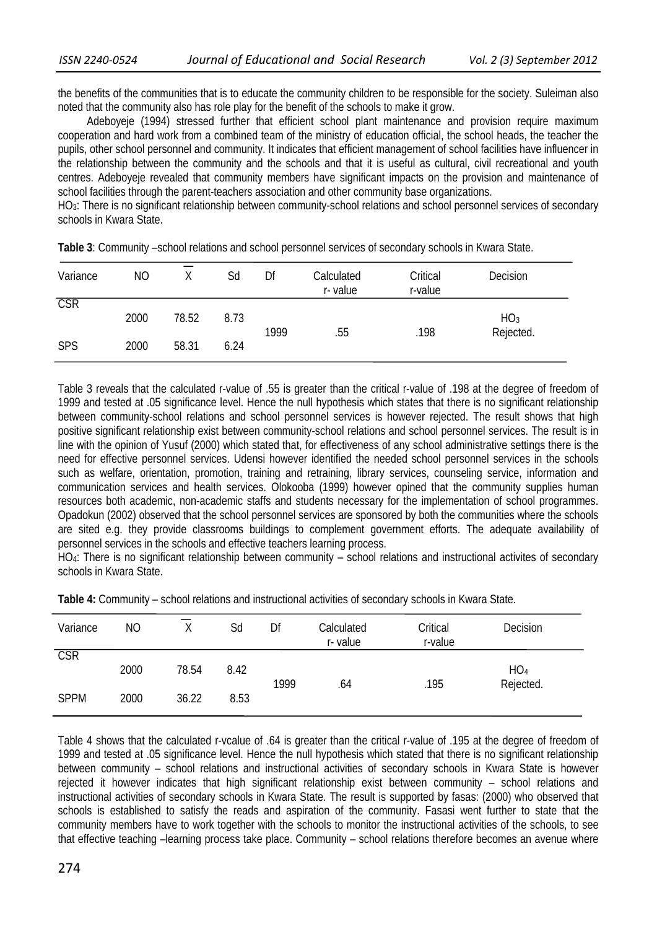the benefits of the communities that is to educate the community children to be responsible for the society. Suleiman also noted that the community also has role play for the benefit of the schools to make it grow.

Adeboyeje (1994) stressed further that efficient school plant maintenance and provision require maximum cooperation and hard work from a combined team of the ministry of education official, the school heads, the teacher the pupils, other school personnel and community. It indicates that efficient management of school facilities have influencer in the relationship between the community and the schools and that it is useful as cultural, civil recreational and youth centres. Adeboyeje revealed that community members have significant impacts on the provision and maintenance of school facilities through the parent-teachers association and other community base organizations.

HO3: There is no significant relationship between community-school relations and school personnel services of secondary schools in Kwara State.

| Variance                | NΟ   |       | Sd   | Df   | Calculated<br>r-value | Critical<br>r-value | Decision                     |  |
|-------------------------|------|-------|------|------|-----------------------|---------------------|------------------------------|--|
| $\overline{\text{CSR}}$ | 2000 | 78.52 | 8.73 | 1999 | .55                   | .198                | HO <sub>3</sub><br>Rejected. |  |
| <b>SPS</b>              | 2000 | 58.31 | 6.24 |      |                       |                     |                              |  |

**Table 3**: Community –school relations and school personnel services of secondary schools in Kwara State.

Table 3 reveals that the calculated r-value of .55 is greater than the critical r-value of .198 at the degree of freedom of 1999 and tested at .05 significance level. Hence the null hypothesis which states that there is no significant relationship between community-school relations and school personnel services is however rejected. The result shows that high positive significant relationship exist between community-school relations and school personnel services. The result is in line with the opinion of Yusuf (2000) which stated that, for effectiveness of any school administrative settings there is the need for effective personnel services. Udensi however identified the needed school personnel services in the schools such as welfare, orientation, promotion, training and retraining, library services, counseling service, information and communication services and health services. Olokooba (1999) however opined that the community supplies human resources both academic, non-academic staffs and students necessary for the implementation of school programmes. Opadokun (2002) observed that the school personnel services are sponsored by both the communities where the schools are sited e.g. they provide classrooms buildings to complement government efforts. The adequate availability of personnel services in the schools and effective teachers learning process.

HO4: There is no significant relationship between community – school relations and instructional activites of secondary schools in Kwara State.

| Variance    | <b>NO</b> | Y     | Sd   | Df   | Calculated<br>r-value | Critical<br>r-value | Decision                     |
|-------------|-----------|-------|------|------|-----------------------|---------------------|------------------------------|
| <b>CSR</b>  | 2000      | 78.54 | 8.42 | 1999 | .64                   | .195                | HO <sub>4</sub><br>Rejected. |
| <b>SPPM</b> | 2000      | 36.22 | 8.53 |      |                       |                     |                              |

**Table 4:** Community – school relations and instructional activities of secondary schools in Kwara State.

Table 4 shows that the calculated r-vcalue of .64 is greater than the critical r-value of .195 at the degree of freedom of 1999 and tested at .05 significance level. Hence the null hypothesis which stated that there is no significant relationship between community – school relations and instructional activities of secondary schools in Kwara State is however rejected it however indicates that high significant relationship exist between community – school relations and instructional activities of secondary schools in Kwara State. The result is supported by fasas: (2000) who observed that schools is established to satisfy the reads and aspiration of the community. Fasasi went further to state that the community members have to work together with the schools to monitor the instructional activities of the schools, to see that effective teaching –learning process take place. Community – school relations therefore becomes an avenue where